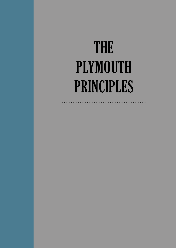# THE PLYMOUTH PRINCIPLES

. . . . . . . . . . . . . . .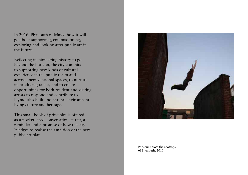In 2016, Plymouth redefined how it will go about supporting, commissioning, exploring and looking after public art in the future.

Reflecting its pioneering history to go beyond the horizon, the city commits to supporting new kinds of cultural experience in the public realm and across unconventional spaces, to nurture its producing talent, and to create opportunities for both resident and visiting artists to respond and contribute to Plymouth's built and natural environment, living culture and heritage.

This small book of principles is offered as a pocket-sized conversation starter, a reminder and a promise of how the city 'pledges to realise the ambition of the new public art plan.



Parkour across the rooftops of Plymouth, 2015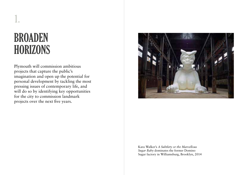# BROADEN **HORIZONS**

1.

Plymouth will commission ambitious projects that capture the public's imagination and open up the potential for personal development by tackling the most pressing issues of contemporary life, and will do so by identifying key opportunities for the city to commission landmark projects over the next five years.



Kara Walker's *A Subtlety or the Marvellous Sugar Baby* dominates the former Domino Sugar factory in Williamsburg, Brooklyn, 2014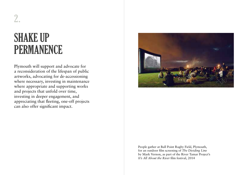# SHAKE UP **PERMANENCE**

2.

Plymouth will support and advocate for a reconsideration of the lifespan of public artworks, advocating for de-accessioning where necessary, investing in maintenance where appropriate and supporting works and projects that unfold over time, investing in deeper engagement, and appreciating that fleeting, one-off projects can also offer significant impact.



People gather at Bull Point Rugby Field, Plymouth, for an outdoor film screening of *The Dividing Line* by Mark Vernon, as part of the River Tamar Project's *It's All About the River* film festival, 2014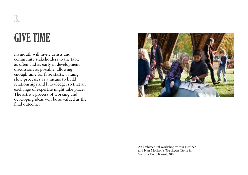# GIVE TIME

3.

Plymouth will invite artists and community stakeholders to the table as often and as early in development discussions as possible, allowing enough time for false starts, valuing slow processes as a means to build relationships and knowledge, so that an exchange of expertise might take place. The artist's process of working and developing ideas will be as valued as the final outcome.



An architectural workshop within Heather and Ivan Morison's *The Black Cloud* in Victoria Park, Bristol, 2009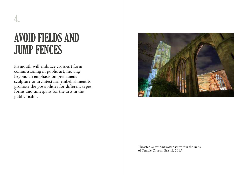# AVOID FIELDS AND JUMP FENCES

Plymouth will embrace cross-art form commissioning in public art, moving beyond an emphasis on permanent sculpture or architectural embellishment to promote the possibilities for different types, forms and timespans for the arts in the public realm.



Theaster Gates' *Sanctum* rises within the ruins of Temple Church, Bristol, 2015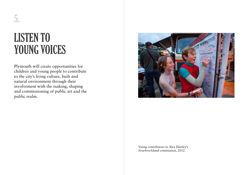# LISTEN TO YOUNG VOICES

5.

Plymouth will create opportunities for children and young people to contribute to the city's living culture, built and natural environment through their involvement with the making, shaping and commissioning of public art and the public realm.



Young contributors to Alex Hartley's *NowhereIsland* constitution, 2012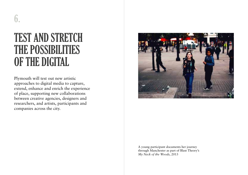## TEST AND STRETCH THE POSSIBILITIES OF THE DIGITAL

Plymouth will test out new artistic approaches to digital media to capture, extend, enhance and enrich the experience of place, supporting new collaborations between creative agencies, designers and researchers, and artists, participants and companies across the city.



A young participant documents her journey through Manchester as part of Blast Theory's *My Neck of the Woods*, 2013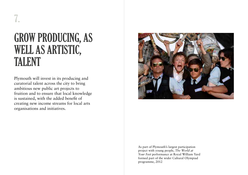## GROW PRODUCING, AS WELL AS ARTISTIC, TALENT

Plymouth will invest in its producing and curatorial talent across the city to bring ambitious new public art projects to fruition and to ensure that local knowledge is sustained, with the added benefit of creating new income streams for local arts organisations and initiatives.



As part of Plymouth's largest participation project with young people, *The World at Your Feet* performance at Royal William Yard formed part of the wider Cultural Olympiad programme, 2012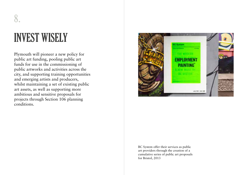# INVEST WISELY

8.

Plymouth will pioneer a new policy for public art funding, pooling public art funds for use in the commissioning of public artworks and activities across the city, and supporting training opportunities and emerging artists and producers, whilst maintaining a set of existing public art assets, as well as supporting more ambitious and sensitive proposals for projects through Section 106 planning conditions.



BC System offer their services as public art providers through the creation of a cumulative series of public art proposals for Bristol, 2013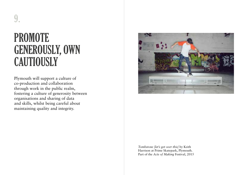# **PROMOTE** GENEROUSLY, OWN **CAUTIOUSLY**

9.

Plymouth will support a culture of co-production and collaboration through work in the public realm, fostering a culture of generosity between organisations and sharing of data and skills, whilst being careful about maintaining quality and integrity.



*Tombstone [let's get over this]* by Keith Harrison at Prime Skatepark, Plymouth. Part of the *Acts of Making* Festival, 2015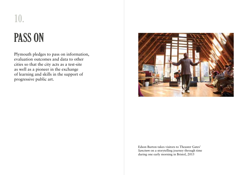# PASS ON

10.

Plymouth pledges to pass on information, evaluation outcomes and data to other cities so that the city acts as a test-site as well as a pioneer in the exchange of learning and skills in the support of progressive public art.



Edson Burton takes visitors to Theaster Gates' *Sanctum* on a storytelling journey through time during one early morning in Bristol, 2015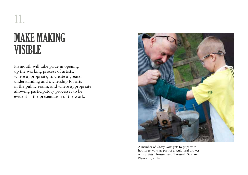# MAKE MAKING VISIBLE

Plymouth will take pride in opening up the working process of artists, where appropriate, to create a greater understanding and ownership for arts in the public realm, and where appropriate allowing participatory processes to be evident in the presentation of the work.



A member of *Crazy Glue* gets to grips with hot forge work as part of a sculptural project with artists Thrussell and Thrussell. Saltram, Plymouth, 2014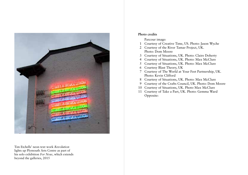

Tim Etchells' neon text work *Revolution* lights up Plymouth Arts Centre as part of his solo exhibition *For Now*, which extends beyond the galleries, 2015

#### **Photo credits**

Parcour image:

- 1 Courtesy of Creative Time, US. Photo: Jason Wyche
- 2 Courtesy of the River Tamar Project, UK. Photo: Dom Moore
- 3 Courtesy of Situations, UK. Photo: Claire Doherty
- 4 Courtesy of Situations, UK. Photo: Max McClure
- 5 Courtesy of Situations, UK. Photo: Max McClure
- 6 Courtesy Blast Theory, UK
- 7 Courtesy of The World at Your Feet Partnership, UK. Photo: Kevin Clifford
- 8 Courtesy of Situations, UK. Photo: Max McClure
- 9 Courtesy of the Crafts Council, UK. Photo: Dom Moore
- 10 Courtesy of Situations, UK. Photo Max McClure
- 11 Courtesy of Take a Part, UK. Photo: Gemma Ward Opposite: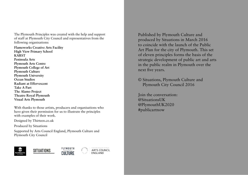The Plymouth Principles was created with the help and support of staff at Plymouth City Council and representatives from the following organisations:

**Flameworks Creative Arts Facility High View Primary School KARST Peninsula Arts Plymouth Arts Centre Plymouth College of Art Plymouth Culture Plymouth University Ocean Studios Radiant at Effervescent Take A Part The Alamo Project Theatre Royal Plymouth Visual Arts Plymouth** 

With thanks to those artists, producers and organisations who have given their permission for us to illustrate the principles with examples of their work.

Designed by Thirteen.co.uk

Produced by Situations

Supported by Arts Council England, Plymouth Culture and Plymouth City Council



Published by Plymouth Culture and produced by Situations in March 2016 to coincide with the launch of the Public Art Plan for the city of Plymouth. This set of eleven principles forms the basis of the strategic development of public art and arts in the public realm in Plymouth over the next five years.

© Situations, Plymouth Culture and Plymouth City Council 2016

Join the conversation: @SituationsUK @PlymouthUK2020 #publicartnow